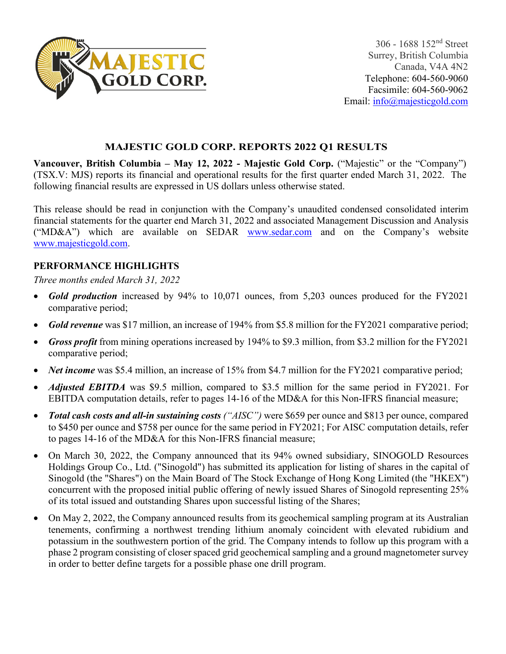

## **MAJESTIC GOLD CORP. REPORTS 2022 Q1 RESULTS**

**Vancouver, British Columbia – May 12, 2022 - Majestic Gold Corp.** ("Majestic" or the "Company") (TSX.V: MJS) reports its financial and operational results for the first quarter ended March 31, 2022. The following financial results are expressed in US dollars unless otherwise stated.

This release should be read in conjunction with the Company's unaudited condensed consolidated interim financial statements for the quarter end March 31, 2022 and associated Management Discussion and Analysis ("MD&A") which are available on SEDAR [www.sedar.com](http://www.sedar.com/) and on the Company's website [www.majesticgold.com.](http://www.majesticgold.com/)

# **PERFORMANCE HIGHLIGHTS**

*Three months ended March 31, 2022*

- *Gold production* increased by 94% to 10,071 ounces, from 5,203 ounces produced for the FY2021 comparative period;
- *Gold revenue* was \$17 million, an increase of 194% from \$5.8 million for the FY2021 comparative period;
- *Gross profit* from mining operations increased by 194% to \$9.3 million, from \$3.2 million for the FY2021 comparative period;
- *Net income* was \$5.4 million, an increase of 15% from \$4.7 million for the FY2021 comparative period;
- *Adjusted EBITDA* was \$9.5 million, compared to \$3.5 million for the same period in FY2021. For EBITDA computation details, refer to pages 14-16 of the MD&A for this Non-IFRS financial measure;
- *Total cash costs and all-in sustaining costs ("AISC")* were \$659 per ounce and \$813 per ounce, compared to \$450 per ounce and \$758 per ounce for the same period in FY2021; For AISC computation details, refer to pages 14-16 of the MD&A for this Non-IFRS financial measure;
- On March 30, 2022, the Company announced that its 94% owned subsidiary, SINOGOLD Resources Holdings Group Co., Ltd. ("Sinogold") has submitted its application for listing of shares in the capital of Sinogold (the "Shares") on the Main Board of The Stock Exchange of Hong Kong Limited (the "HKEX") concurrent with the proposed initial public offering of newly issued Shares of Sinogold representing 25% of its total issued and outstanding Shares upon successful listing of the Shares;
- On May 2, 2022, the Company announced results from its geochemical sampling program at its Australian tenements, confirming a northwest trending lithium anomaly coincident with elevated rubidium and potassium in the southwestern portion of the grid. The Company intends to follow up this program with a phase 2 program consisting of closer spaced grid geochemical sampling and a ground magnetometer survey in order to better define targets for a possible phase one drill program.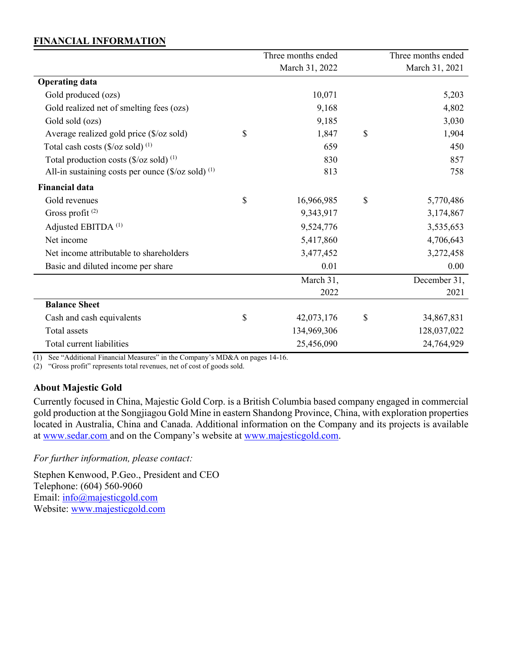### **FINANCIAL INFORMATION**

|                                                                          | Three months ended | Three months ended |
|--------------------------------------------------------------------------|--------------------|--------------------|
|                                                                          | March 31, 2022     | March 31, 2021     |
| <b>Operating data</b>                                                    |                    |                    |
| Gold produced (ozs)                                                      | 10,071             | 5,203              |
| Gold realized net of smelting fees (ozs)                                 | 9,168              | 4,802              |
| Gold sold (ozs)                                                          | 9,185              | 3,030              |
| Average realized gold price $(\frac{5}{oz} \text{ sold})$                | \$<br>1,847        | \$<br>1,904        |
| Total cash costs $(\frac{6}{\alpha} \times \frac{1}{\alpha})^{(1)}$      | 659                | 450                |
| Total production costs $(\frac{6}{\alpha}z \text{ sold})$ <sup>(1)</sup> | 830                | 857                |
| All-in sustaining costs per ounce $(\frac{0}{2} \cos \theta)^{(1)}$      | 813                | 758                |
| <b>Financial data</b>                                                    |                    |                    |
| Gold revenues                                                            | \$<br>16,966,985   | \$<br>5,770,486    |
| Gross profit <sup>(2)</sup>                                              | 9,343,917          | 3,174,867          |
| Adjusted EBITDA <sup>(1)</sup>                                           | 9,524,776          | 3,535,653          |
| Net income                                                               | 5,417,860          | 4,706,643          |
| Net income attributable to shareholders                                  | 3,477,452          | 3,272,458          |
| Basic and diluted income per share                                       | 0.01               | 0.00               |
|                                                                          | March 31,          | December 31,       |
|                                                                          | 2022               | 2021               |
| <b>Balance Sheet</b>                                                     |                    |                    |
| Cash and cash equivalents                                                | \$<br>42,073,176   | \$<br>34,867,831   |
| <b>Total</b> assets                                                      | 134,969,306        | 128,037,022        |
| Total current liabilities                                                | 25,456,090         | 24,764,929         |

(1) See "Additional Financial Measures" in the Company's MD&A on pages 14-16.

(2) "Gross profit" represents total revenues, net of cost of goods sold.

#### **About Majestic Gold**

Currently focused in China, Majestic Gold Corp. is a British Columbia based company engaged in commercial gold production at the Songjiagou Gold Mine in eastern Shandong Province, China, with exploration properties located in Australia, China and Canada. Additional information on the Company and its projects is available at [www.sedar.com](http://www.sedar.com/) and on the Company's website at [www.majesticgold.com.](http://www.majesticgold.com/)

*For further information, please contact:*

Stephen Kenwood, P.Geo., President and CEO Telephone: (604) 560-9060 Email: [info@majesticgold.com](mailto:info@majesticgold.com) Website: [www.majesticgold.com](http://www.majesticgold.com/)